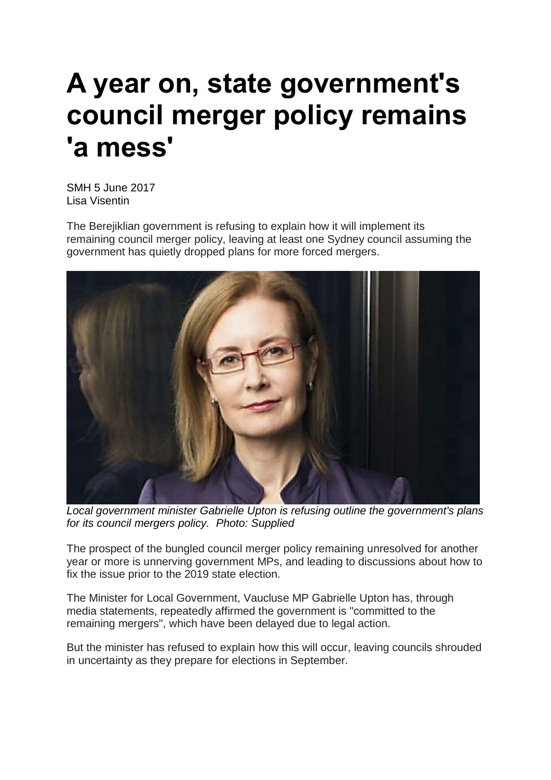## **A year on, state government's council merger policy remains 'a mess'**

SMH 5 June 2017 Lisa Visentin

The Berejiklian government is refusing to explain how it will implement its remaining council merger policy, leaving at least one Sydney council assuming the government has quietly dropped plans for more forced mergers.



*Local government minister Gabrielle Upton is refusing outline the government's plans for its council mergers policy. Photo: Supplied*

The prospect of the bungled council merger policy remaining unresolved for another year or more is unnerving government MPs, and leading to discussions about how to fix the issue prior to the 2019 state election.

The Minister for Local Government, Vaucluse MP Gabrielle Upton has, through media statements, repeatedly affirmed the government is "committed to the remaining mergers", which have been delayed due to legal action.

But the minister has refused to explain how this will occur, leaving councils shrouded in uncertainty as they prepare for elections in September.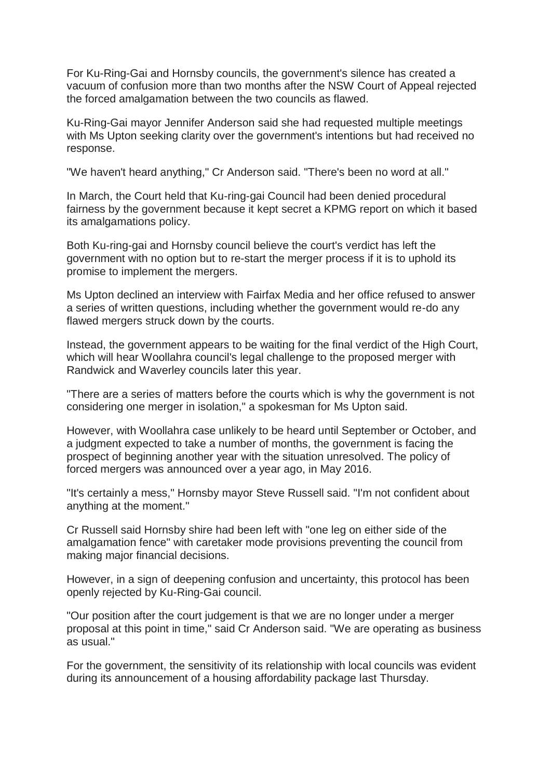For Ku-Ring-Gai and Hornsby councils, the government's silence has created a vacuum of confusion more than two months after the NSW Court of Appeal rejected the forced amalgamation between the two councils as flawed.

Ku-Ring-Gai mayor Jennifer Anderson said she had requested multiple meetings with Ms Upton seeking clarity over the government's intentions but had received no response.

"We haven't heard anything," Cr Anderson said. "There's been no word at all."

In March, the Court held that Ku-ring-gai Council had been denied procedural fairness by the government because it kept secret a KPMG report on which it based its amalgamations policy.

Both Ku-ring-gai and Hornsby council believe the court's verdict has left the government with no option but to re-start the merger process if it is to uphold its promise to implement the mergers.

Ms Upton declined an interview with Fairfax Media and her office refused to answer a series of written questions, including whether the government would re-do any flawed mergers struck down by the courts.

Instead, the government appears to be waiting for the final verdict of the High Court, which will hear Woollahra council's legal challenge to the proposed merger with Randwick and Waverley councils later this year.

"There are a series of matters before the courts which is why the government is not considering one merger in isolation," a spokesman for Ms Upton said.

However, with Woollahra case unlikely to be heard until September or October, and a judgment expected to take a number of months, the government is facing the prospect of beginning another year with the situation unresolved. The policy of forced mergers was announced over a year ago, in May 2016.

"It's certainly a mess," Hornsby mayor Steve Russell said. "I'm not confident about anything at the moment."

Cr Russell said Hornsby shire had been left with "one leg on either side of the amalgamation fence" with caretaker mode provisions preventing the council from making major financial decisions.

However, in a sign of deepening confusion and uncertainty, this protocol has been openly rejected by Ku-Ring-Gai council.

"Our position after the court judgement is that we are no longer under a merger proposal at this point in time," said Cr Anderson said. "We are operating as business as usual."

For the government, the sensitivity of its relationship with local councils was evident during its announcement of a housing affordability package last Thursday.